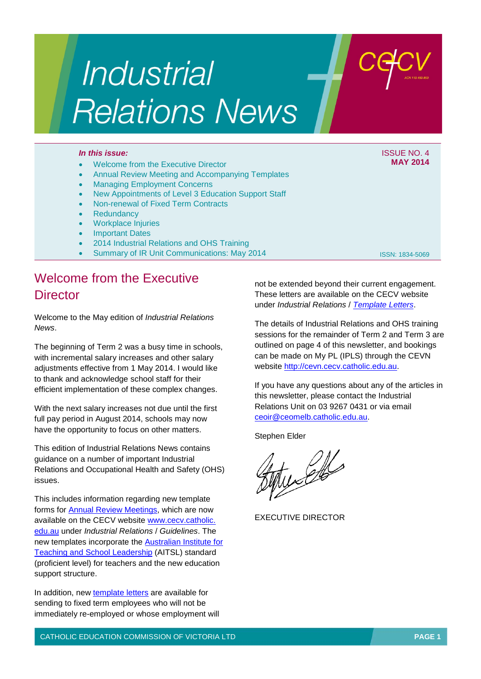# Industrial **Relations News**

#### • Welcome from the Executive Director

- Annual Review Meeting and Accompanying Templates
- **Managing Employment Concerns**
- New Appointments of Level 3 Education Support Staff
- Non-renewal of Fixed Term Contracts
- **Redundancy**
- Workplace Injuries
- **Important Dates**
- 2014 Industrial Relations and OHS Training
- Summary of IR Unit Communications: May 2014

### Welcome from the Executive **Director**

Welcome to the May edition of *Industrial Relations News*.

The beginning of Term 2 was a busy time in schools, with incremental salary increases and other salary adjustments effective from 1 May 2014. I would like to thank and acknowledge school staff for their efficient implementation of these complex changes.

With the next salary increases not due until the first full pay period in August 2014, schools may now have the opportunity to focus on other matters.

This edition of Industrial Relations News contains guidance on a number of important Industrial Relations and Occupational Health and Safety (OHS) issues.

This includes information regarding new template forms for [Annual Review Meetings,](http://www.cecv.catholic.edu.au/vcsa/guidelines/guideindex.htm) which are now available on the CECV website [www.cecv.catholic.](http://www.cecv.catholic.edu.au/) [edu.au](http://www.cecv.catholic.edu.au/) under *Industrial Relations* / *Guidelines*. The new templates incorporate the [Australian Institute for](http://www.aitsl.edu.au/australian-professional-standards-for-teachers)  [Teaching and School Leadership](http://www.aitsl.edu.au/australian-professional-standards-for-teachers) (AITSL) standard (proficient level) for teachers and the new education support structure.

In addition, new [template letters](http://www.cecv.catholic.edu.au/vcsa/lettersofappointment/instructions.html) are available for sending to fixed term employees who will not be immediately re-employed or whose employment will not be extended beyond their current engagement. These letters are available on the CECV website under *Industrial Relations* / *[Template Letters](http://www.cecv.catholic.edu.au/vcsa/lettersofappointment/appoint.htm)*.

The details of Industrial Relations and OHS training sessions for the remainder of Term 2 and Term 3 are outlined on page 4 of this newsletter, and bookings can be made on My PL (IPLS) through the CEVN website [http://cevn.cecv.catholic.edu.au.](http://cevn.cecv.catholic.edu.au/)

If you have any questions about any of the articles in this newsletter, please contact the Industrial Relations Unit on 03 9267 0431 or via email [ceoir@ceomelb.catholic.edu.au.](mailto:ceoir@ceomelb.catholic.edu.au)

Stephen Elder

tu Cle

EXECUTIVE DIRECTOR

*In this issue:* ISSUE NO. 4 **MAY 2014**

ISSN: 1834-5069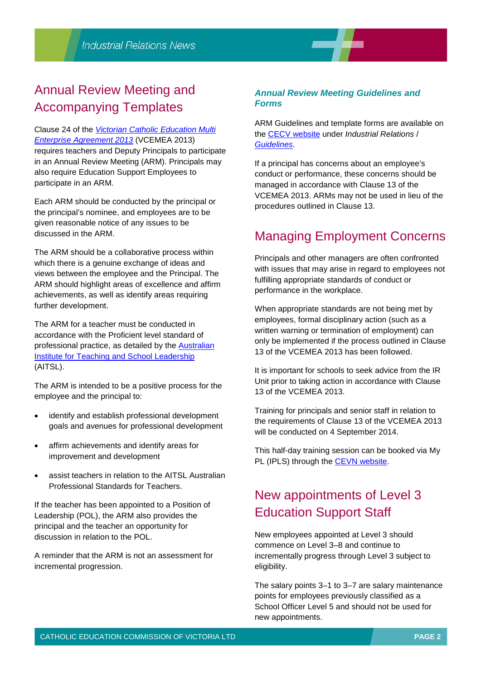## Annual Review Meeting and Accompanying Templates

Clause 24 of the *[Victorian Catholic Education Multi](http://www.cecv.catholic.edu.au/vcsa/Agreement_2013/VCEMEA_2013.pdf)  [Enterprise Agreement 2013](http://www.cecv.catholic.edu.au/vcsa/Agreement_2013/VCEMEA_2013.pdf)* (VCEMEA 2013) requires teachers and Deputy Principals to participate in an Annual Review Meeting (ARM). Principals may also require Education Support Employees to participate in an ARM.

Each ARM should be conducted by the principal or the principal's nominee, and employees are to be given reasonable notice of any issues to be discussed in the ARM.

The ARM should be a collaborative process within which there is a genuine exchange of ideas and views between the employee and the Principal. The ARM should highlight areas of excellence and affirm achievements, as well as identify areas requiring further development.

The ARM for a teacher must be conducted in accordance with the Proficient level standard of professional practice, as detailed by the [Australian](http://www.aitsl.edu.au/australian-professional-standards-for-teachers)  [Institute for Teaching and School Leadership](http://www.aitsl.edu.au/australian-professional-standards-for-teachers) (AITSL).

The ARM is intended to be a positive process for the employee and the principal to:

- identify and establish professional development goals and avenues for professional development
- affirm achievements and identify areas for improvement and development
- assist teachers in relation to the AITSL Australian Professional Standards for Teachers.

If the teacher has been appointed to a Position of Leadership (POL), the ARM also provides the principal and the teacher an opportunity for discussion in relation to the POL.

A reminder that the ARM is not an assessment for incremental progression.

#### *Annual Review Meeting Guidelines and Forms*

ARM Guidelines and template forms are available on the [CECV website](http://www.cecv.catholic.edu.au/) under *Industrial Relations* / *[Guidelines](http://web.cecv.catholic.edu.au/vcsa/guidelines/guideindex.htm)*.

If a principal has concerns about an employee's conduct or performance, these concerns should be managed in accordance with Clause 13 of the VCEMEA 2013. ARMs may not be used in lieu of the procedures outlined in Clause 13.

## Managing Employment Concerns

Principals and other managers are often confronted with issues that may arise in regard to employees not fulfilling appropriate standards of conduct or performance in the workplace.

When appropriate standards are not being met by employees, formal disciplinary action (such as a written warning or termination of employment) can only be implemented if the process outlined in Clause 13 of the VCEMEA 2013 has been followed.

It is important for schools to seek advice from the IR Unit prior to taking action in accordance with Clause 13 of the VCEMEA 2013.

Training for principals and senior staff in relation to the requirements of Clause 13 of the VCEMEA 2013 will be conducted on 4 September 2014.

This half-day training session can be booked via My PL (IPLS) through the [CEVN website.](http://cevn.cecv.catholic.edu.au/cevnlogin.aspx)

## New appointments of Level 3 Education Support Staff

New employees appointed at Level 3 should commence on Level 3–8 and continue to incrementally progress through Level 3 subject to eligibility.

The salary points 3–1 to 3–7 are salary maintenance points for employees previously classified as a School Officer Level 5 and should not be used for new appointments.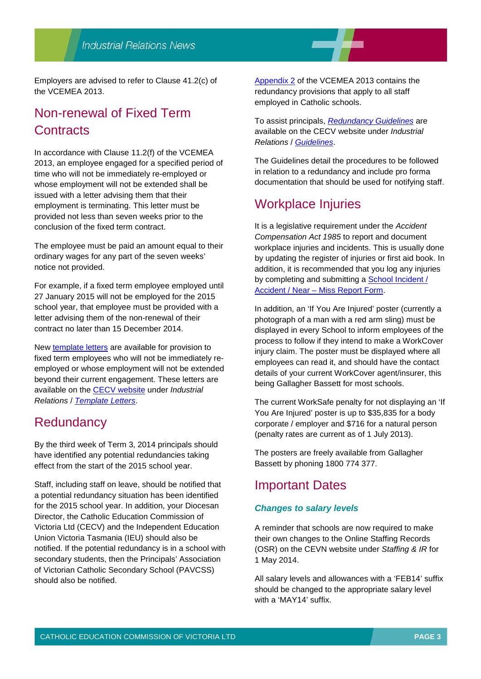Employers are advised to refer to Clause 41.2(c) of the VCEMEA 2013.

## Non-renewal of Fixed Term **Contracts**

In accordance with Clause 11.2(f) of the VCEMEA 2013, an employee engaged for a specified period of time who will not be immediately re-employed or whose employment will not be extended shall be issued with a letter advising them that their employment is terminating. This letter must be provided not less than seven weeks prior to the conclusion of the fixed term contract.

The employee must be paid an amount equal to their ordinary wages for any part of the seven weeks' notice not provided.

For example, if a fixed term employee employed until 27 January 2015 will not be employed for the 2015 school year, that employee must be provided with a letter advising them of the non-renewal of their contract no later than 15 December 2014.

New [template letters](http://www.cecv.catholic.edu.au/vcsa/lettersofappointment/instructions.html) are available for provision to fixed term employees who will not be immediately reemployed or whose employment will not be extended beyond their current engagement. These letters are available on the [CECV website](http://www.cecv.catholic.edu.au/) under *Industrial Relations* / *[Template Letters](http://www.cecv.catholic.edu.au/vcsa/lettersofappointment/instructions.html)*.

#### **Redundancy**

By the third week of Term 3, 2014 principals should have identified any potential redundancies taking effect from the start of the 2015 school year.

Staff, including staff on leave, should be notified that a potential redundancy situation has been identified for the 2015 school year. In addition, your Diocesan Director, the Catholic Education Commission of Victoria Ltd (CECV) and the Independent Education Union Victoria Tasmania (IEU) should also be notified. If the potential redundancy is in a school with secondary students, then the Principals' Association of Victorian Catholic Secondary School (PAVCSS) should also be notified.

[Appendix 2](http://web.cecv.catholic.edu.au/frameset.htm?page=industrial) of the VCEMEA 2013 contains the redundancy provisions that apply to all staff employed in Catholic schools.

To assist principals, *[Redundancy Guidelines](http://www.cecv.catholic.edu.au/vcsa/guidelines/redundancy/RedundGlines.pdf)* are available on the CECV website under *Industrial Relations* / *[Guidelines](http://web.cecv.catholic.edu.au/vcsa/guidelines/guideindex.htm)*.

The Guidelines detail the procedures to be followed in relation to a redundancy and include pro forma documentation that should be used for notifying staff.

### Workplace Injuries

It is a legislative requirement under the *Accident Compensation Act 1985* to report and document workplace injuries and incidents. This is usually done by updating the register of injuries or first aid book. In addition, it is recommended that you log any injuries by completing and submitting a [School Incident /](http://cevn.cecv.catholic.edu.au/WorkArea/linkit.aspx?LinkIdentifier=id&ItemID=5896)  Accident / Near – [Miss Report Form.](http://cevn.cecv.catholic.edu.au/WorkArea/linkit.aspx?LinkIdentifier=id&ItemID=5896)

In addition, an 'If You Are Injured' poster (currently a photograph of a man with a red arm sling) must be displayed in every School to inform employees of the process to follow if they intend to make a WorkCover injury claim. The poster must be displayed where all employees can read it, and should have the contact details of your current WorkCover agent/insurer, this being Gallagher Bassett for most schools.

The current WorkSafe penalty for not displaying an 'If You Are Injured' poster is up to \$35,835 for a body corporate / employer and \$716 for a natural person (penalty rates are current as of 1 July 2013).

The posters are freely available from Gallagher Bassett by phoning 1800 774 377.

## Important Dates

#### *Changes to salary levels*

A reminder that schools are now required to make their own changes to the Online Staffing Records (OSR) on the CEVN website under *Staffing & IR* for 1 May 2014.

All salary levels and allowances with a 'FEB14' suffix should be changed to the appropriate salary level with a 'MAY14' suffix.